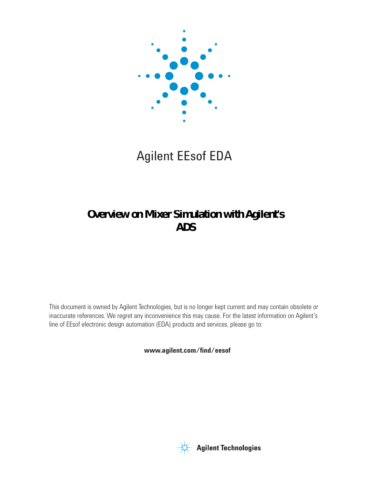

# Agilent EEsof EDA

## **Overview on Mixer Simulation with Agilent's ADS**

This document is owned by Agilent Technologies, but is no longer kept current and may contain obsolete or inaccurate references. We regret any inconvenience this may cause. For the latest information on Agilent's line of EEsof electronic design automation (EDA) products and services, please go to:

www.agilent.com/find/eesof



**Agilent Technologies**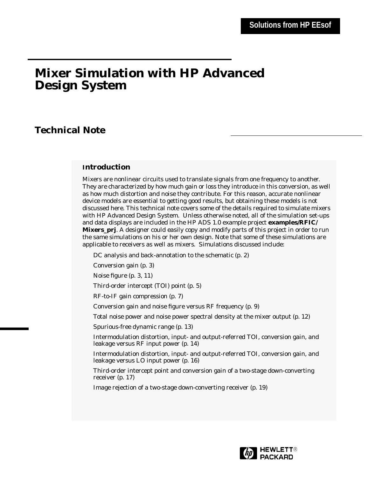## **Mixer Simulation with HP Advanced Design System**

## **Technical Note**

## **Introduction**

Mixers are nonlinear circuits used to translate signals from one frequency to another. They are characterized by how much gain or loss they introduce in this conversion, as well as how much distortion and noise they contribute. For this reason, accurate nonlinear device models are essential to getting good results, but obtaining these models is not discussed here. This technical note covers some of the details required to simulate mixers with HP Advanced Design System. Unless otherwise noted, all of the simulation set-ups and data displays are included in the HP ADS 1.0 example project **examples/RFIC/ Mixers\_prj**. A designer could easily copy and modify parts of this project in order to run the same simulations on his or her own design. Note that some of these simulations are applicable to receivers as well as mixers. Simulations discussed include:

DC analysis and back-annotation to the schematic (p. 2)

Conversion gain (p. 3)

Noise figure (p. 3, 11)

Third-order intercept (TOI) point (p. 5)

RF-to-IF gain compression (p. 7)

Conversion gain and noise figure versus RF frequency (p. 9)

Total noise power and noise power spectral density at the mixer output (p. 12)

Spurious-free dynamic range (p. 13)

Intermodulation distortion, input- and output-referred TOI, conversion gain, and leakage versus RF input power (p. 14)

Intermodulation distortion, input- and output-referred TOI, conversion gain, and leakage versus LO input power (p. 16)

Third-order intercept point and conversion gain of a two-stage down-converting receiver (p. 17)

Image rejection of a two-stage down-converting receiver (p. 19)

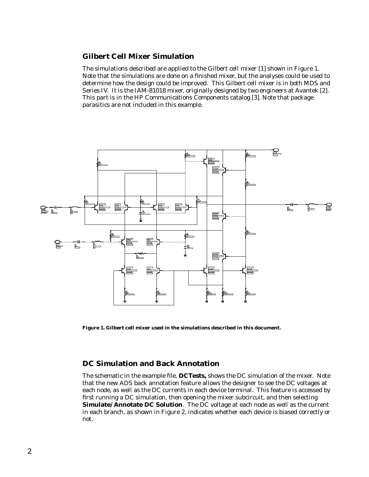## **Gilbert Cell Mixer Simulation**

The simulations described are applied to the Gilbert cell mixer [1] shown in Figure 1. Note that the simulations are done on a finished mixer, but the analyses could be used to determine how the design could be improved. This Gilbert cell mixer is in both MDS and Series IV. It is the IAM-81018 mixer, originally designed by two engineers at Avantek [2]. This part is in the HP Communications Components catalog [3]. Note that package parasitics are not included in this example.



**Figure 1. Gilbert cell mixer used in the simulations described in this document.**

## **DC Simulation and Back Annotation**

The schematic in the example file, **DCTests,** shows the DC simulation of the mixer. Note that the new ADS back annotation feature allows the designer to see the DC voltages at each node, as well as the DC currents in each device terminal. This feature is accessed by first running a DC simulation, then opening the mixer subcircuit, and then selecting **Simulate/ Annotate DC Solution**. The DC voltage at each node as well as the current in each branch, as shown in Figure 2, indicates whether each device is biased correctly or not.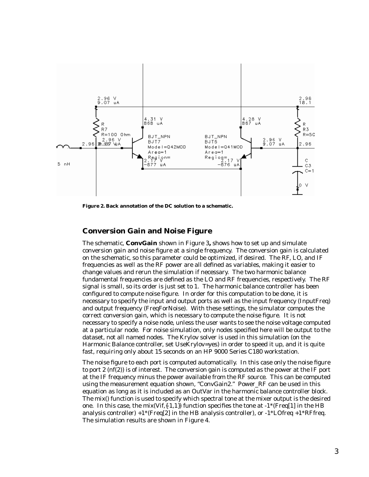

**Figure 2. Back annotation of the DC solution to a schematic.**

## **Conversion Gain and Noise Figure**

The schematic, **ConvGain** shown in Figure 3**,** shows how to set up and simulate conversion gain and noise figure at a single frequency. The conversion gain is calculated on the schematic, so this parameter could be optimized, if desired. The RF, LO, and IF frequencies as well as the RF power are all defined as variables, making it easier to change values and rerun the simulation if necessary. The two harmonic balance fundamental frequencies are defined as the LO and RF frequencies, respectively. The RF signal is small, so its order is just set to 1. The harmonic balance controller has been configured to compute noise figure. In order for this computation to be done, it is necessary to specify the input and output ports as well as the input frequency (InputFreq) and output frequency (FreqForNoise). With these settings, the simulator computes the correct conversion gain, which is necessary to compute the noise figure. It is not necessary to specify a noise node, unless the user wants to see the noise voltage computed at a particular node. For noise simulation, only nodes specified here will be output to the dataset, not all named nodes. The Krylov solver is used in this simulation (on the Harmonic Balance controller, set UseKrylov=yes) in order to speed it up, and it is quite fast, requiring only about 15 seconds on an HP 9000 Series C180 workstation.

The noise figure to each port is computed automatically. In this case only the noise figure to port 2 (nf(2)) is of interest. The conversion gain is computed as the power at the IF port at the IF frequency minus the power available from the RF source. This can be computed using the measurement equation shown, "ConvGain2." Power\_RF can be used in this equation as long as it is included as an OutVar in the harmonic balance controller block. The mix() function is used to specify which spectral tone at the mixer output is the desired one. In this case, the mix(Vif, $\{-1,1\}$ ) function specifies the tone at  $-1^*$ (Freq[1] in the HB analysis controller)  $+1$ <sup>\*</sup>(Freq[2] in the HB analysis controller), or  $-1$ <sup>\*</sup>LOfreq  $+1$ <sup>\*</sup>RFfreq. The simulation results are shown in Figure 4.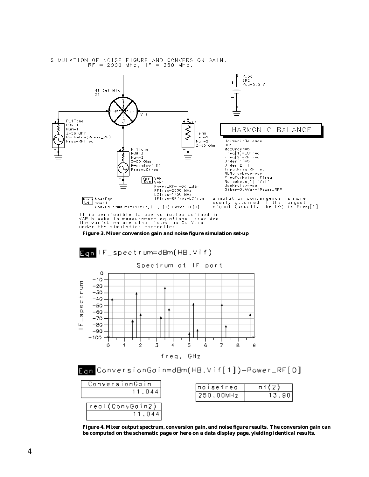

SIMULATION OF NOISE FIGURE AND CONVERSION GAIN.<br>RF = 2000 MHz, IF = 250 MHz.

**Figure 3. Mixer conversion gain and noise figure simulation set-up**



**Figure 4. Mixer output spectrum, conversion gain, and noise figure results. The conversion gain can be computed on the schematic page or here on a data display page, yielding identical results.**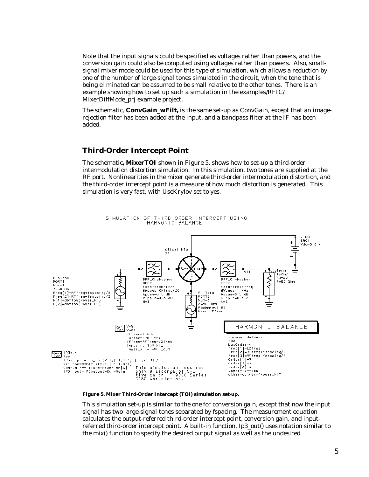Note that the input signals could be specified as voltages rather than powers, and the conversion gain could also be computed using voltages rather than powers. Also, smallsignal mixer mode could be used for this type of simulation, which allows a reduction by one of the number of large-signal tones simulated in the circuit, when the tone that is being eliminated can be assumed to be small relative to the other tones. There is an example showing how to set up such a simulation in the examples/RFIC/ MixerDiffMode\_prj example project.

The schematic, **ConvGain\_wFilt,** is the same set-up as ConvGain, except that an imagerejection filter has been added at the input, and a bandpass filter at the IF has been added.

## **Third-Order Intercept Point**

The schematic**, MixerTOI** shown in Figure 5, shows how to set-up a third-order intermodulation distortion simulation. In this simulation, two tones are supplied at the RF port. Nonlinearities in the mixer generate third-order intermodulation distortion, and the third-order intercept point is a measure of how much distortion is generated. This simulation is very fast, with UseKrylov set to yes.



SIMULATION OF THIRD ORDER INTERCEPT USING HARMONIC BALANCE.

#### **Figure 5. Mixer Third-Order Intercept (TOI) simulation set-up.**

This simulation set-up is similar to the one for conversion gain, except that now the input signal has two large-signal tones separated by fspacing. The measurement equation calculates the output-referred third-order intercept point, conversion gain, and inputreferred third-order intercept point. A built-in function, Ip3\_out() uses notation similar to the mix() function to specify the desired output signal as well as the undesired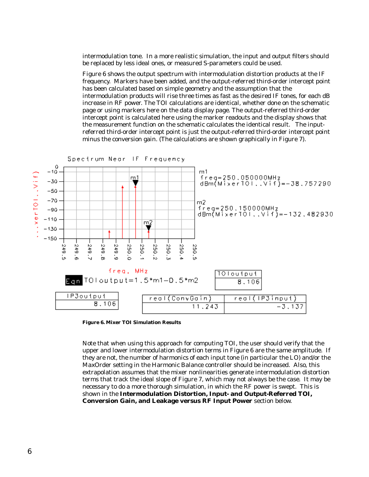intermodulation tone. In a more realistic simulation, the input and output filters should be replaced by less ideal ones, or measured S-parameters could be used.

Figure 6 shows the output spectrum with intermodulation distortion products at the IF frequency. Markers have been added, and the output-referred third-order intercept point has been calculated based on simple geometry and the assumption that the intermodulation products will rise three times as fast as the desired IF tones, for each dB increase in RF power. The TOI calculations are identical, whether done on the schematic page or using markers here on the data display page. The output-referred third-order intercept point is calculated here using the marker readouts and the display shows that the measurement function on the schematic calculates the identical result. The inputreferred third-order intercept point is just the output-referred third-order intercept point minus the conversion gain. (The calculations are shown graphically in Figure 7).



**Figure 6. Mixer TOI Simulation Results**

Note that when using this approach for computing TOI, the user should verify that the upper and lower intermodulation distortion terms in Figure 6 are the same amplitude. If they are not, the number of harmonics of each input tone (in particular the LO) and/or the MaxOrder setting in the Harmonic Balance controller should be increased. Also, this extrapolation assumes that the mixer nonlinearities generate intermodulation distortion terms that track the ideal slope of Figure 7, which may not always be the case. It may be necessary to do a more thorough simulation, in which the RF power is swept. This is shown in the **Intermodulation Distortion, Input- and Output-Referred TOI, Conversion Gain, and Leakage versus RF Input Power** section below.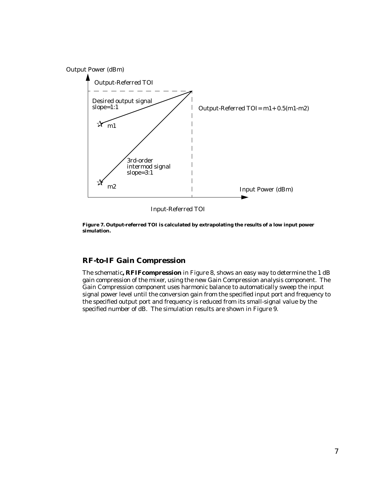Output Power (dBm)



Input-Referred TOI

**Figure 7. Output-referred TOI is calculated by extrapolating the results of a low input power simulation.**

## **RF-to-IF Gain Compression**

The schematic**, RFIFcompression** in Figure 8, shows an easy way to determine the 1 dB gain compression of the mixer, using the new Gain Compression analysis component. The Gain Compression component uses harmonic balance to automatically sweep the input signal power level until the conversion gain from the specified input port and frequency to the specified output port and frequency is reduced from its small-signal value by the specified number of dB. The simulation results are shown in Figure 9.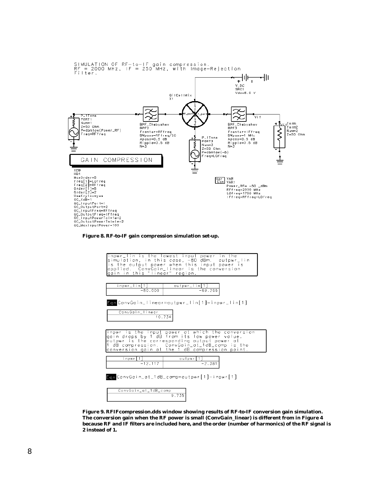

**Figure 8. RF-to-IF gain compression simulation set-up.**

| inpwr_lin is the lowest input power in the<br>simulation, in this case, -80 dBm. outpwr_lin<br>is the output power when this input power is<br>applied. ConvGain_linear is the conversion<br>gain in this "linear" region. |  |  |  |  |  |  |
|----------------------------------------------------------------------------------------------------------------------------------------------------------------------------------------------------------------------------|--|--|--|--|--|--|
| outpwr_lin[1]<br>inpwr_lin[1]<br>$-69.266$<br>$-80.000$                                                                                                                                                                    |  |  |  |  |  |  |
| Egn ConvGoin_linear=outpwr_lin[1]-inpwr_lin[1]<br>ConvGain_linear<br>10.734                                                                                                                                                |  |  |  |  |  |  |
| inpwr is the input power at which the conversion<br>gain drops by 1 dB from its low power value.<br>outpwr is the corresponding output power at<br>dB compression. ConvGoin_ot_1dB_comp is the                             |  |  |  |  |  |  |
| conversion goin ot the 1 dB compression point.<br>inpwr[1]<br>outpwr[1]<br>$-12.117$<br>$-2.381$                                                                                                                           |  |  |  |  |  |  |
| Ean ConvGoin_ot_1dB_comp=outpwr[1]-inpwr[1]<br>ConvGain_at_1dB_comp                                                                                                                                                        |  |  |  |  |  |  |

 $9.735$ 

**Figure 9. RFIFcompression.dds window showing results of RF-to-IF conversion gain simulation. The conversion gain when the RF power is small (ConvGain\_linear) is different from in Figure 4 because RF and IF filters are included here, and the order (number of harmonics) of the RF signal is 2 instead of 1.**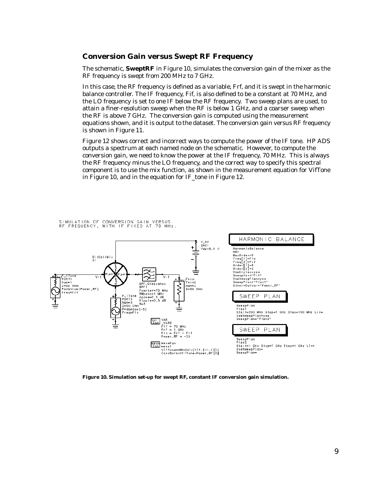## **Conversion Gain versus Swept RF Frequency**

The schematic, **SweptRF** in Figure 10, simulates the conversion gain of the mixer as the RF frequency is swept from 200 MHz to 7 GHz.

In this case, the RF frequency is defined as a variable, Frf, and it is swept in the harmonic balance controller. The IF frequency, Fif, is also defined to be a constant at 70 MHz, and the LO frequency is set to one IF below the RF frequency. Two sweep plans are used, to attain a finer-resolution sweep when the RF is below 1 GHz, and a coarser sweep when the RF is above 7 GHz. The conversion gain is computed using the measurement equations shown, and it is output to the dataset. The conversion gain versus RF frequency is shown in Figure 11.

Figure 12 shows correct and incorrect ways to compute the power of the IF tone. HP ADS outputs a spectrum at each named node on the schematic. However, to compute the conversion gain, we need to know the power at the IF frequency, 70 MHz. This is always the RF frequency minus the LO frequency, and the correct way to specify this spectral component is to use the mix function, as shown in the measurement equation for VifTone in Figure 10, and in the equation for IF\_tone in Figure 12.

SIMULATION OF CONVERSION GAIN VERSUS<br>RF FREQUENCY, WITH IF FIXED AT 70 MHz.



**Figure 10. Simulation set-up for swept RF, constant IF conversion gain simulation.**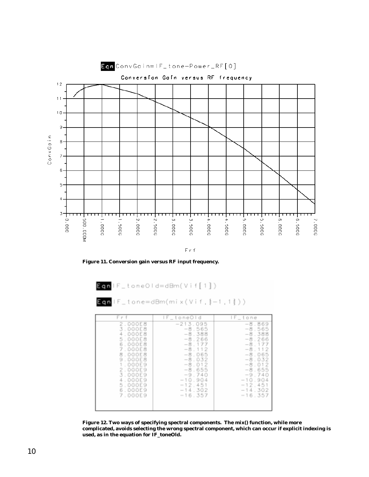

Frf

**Figure 11. Conversion gain versus RF input frequency.**

| en IF_toneOld=dBm(Vif[1]) |  |  |  |  |  |  |  |  |  |  |  |  |
|---------------------------|--|--|--|--|--|--|--|--|--|--|--|--|
|                           |  |  |  |  |  |  |  |  |  |  |  |  |

$$
\text{in } \mathsf{IF\_tone=dBm(mix(Vif,\{-1,1\}))}
$$

| Frf     | IF_toneOld | lF_tone   |
|---------|------------|-----------|
| 2.000E8 | $-213.095$ | $-8.869$  |
| 3.000E8 | $-8.565$   | $-8.565$  |
| 4.000E8 | $-8.388$   | $-8.388$  |
| 5.000E8 | $-8.266$   | $-8.266$  |
| 6.000E8 | $-8.177$   | $-8.177$  |
| 7.000E8 | $-8.112$   | $-8.112$  |
| 8.000E8 | $-8.065$   | $-8.065$  |
| 9.000E8 | $-8.032$   | $-8.032$  |
| 1.000E9 | $-8.012$   | $-8.012$  |
| 2.000E9 | $-8.655$   | $-8.655$  |
| 3.000E9 | $-9.740$   | $-9.740$  |
| 4.000E9 | $-10.904$  | $-10.904$ |
| 5.000E9 | $-12, 451$ | $-12,451$ |
| 6.000E9 | $-14.302$  | $-14.302$ |
| 7.000E9 | $-16.357$  | $-16.357$ |

**Figure 12. Two ways of specifying spectral components. The mix() function, while more complicated, avoids selecting the wrong spectral component, which can occur if explicit indexing is used, as in the equation for IF\_toneOld.**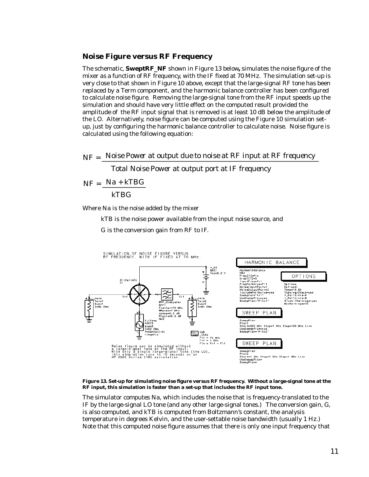## **Noise Figure versus RF Frequency**

The schematic, **SweptRF\_NF** shown in Figure 13 below**,** simulates the noise figure of the mixer as a function of RF frequency, with the IF fixed at 70 MHz. The simulation set-up is very close to that shown in Figure 10 above, except that the large-signal RF tone has been replaced by a Term component, and the harmonic balance controller has been configured to calculate noise figure. Removing the large-signal tone from the RF input speeds up the simulation and should have very little effect on the computed result provided the amplitude of the RF input signal that is removed is at least 10 dB below the amplitude of the LO. Alternatively, noise figure can be computed using the Figure 10 simulation setup, just by configuring the harmonic balance controller to calculate noise. Noise figure is calculated using the following equation:

 $NF =$  *Noise Power at output due to noise at RF input at RF frequency* 

*Total Noise Power at output port at IF frequency*

$$
NF = \frac{Na + kTBG}{kTBG}
$$

Where Na is the noise added by the mixer

kTB is the noise power available from the input noise source, and

G is the conversion gain from RF to IF.



**Figure 13. Set-up for simulating noise figure versus RF frequency. Without a large-signal tone at the RF input, this simulation is faster than a set-up that includes the RF input tone.**

The simulator computes Na, which includes the noise that is frequency-translated to the IF by the large-signal LO tone (and any other large-signal tones.) The conversion gain, G, is also computed, and kTB is computed from Boltzmann's constant, the analysis temperature in degrees Kelvin, and the user-settable noise bandwidth (usually 1 Hz.) Note that this computed noise figure assumes that there is only one input frequency that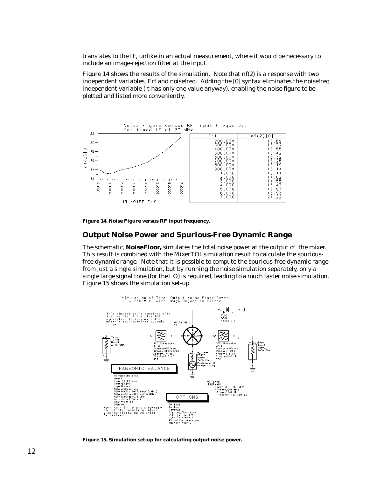translates to the IF, unlike in an actual measurement, where it would be necessary to include an image-rejection filter at the input.

Figure 14 shows the results of the simulation. Note that nf(2) is a response with two independent variables, Frf and noisefreq. Adding the [0] syntax eliminates the noisefreq independent variable (it has only one value anyway), enabling the noise figure to be plotted and listed more conveniently.



**Figure 14. Noise Figure versus RF input frequency.**

## **Output Noise Power and Spurious-Free Dynamic Range**

The schematic, **NoiseFloor,** simulates the total noise power at the output of the mixer. This result is combined with the MixerTOI simulation result to calculate the spuriousfree dynamic range. Note that it is possible to compute the spurious-free dynamic range from just a single simulation, but by running the noise simulation separately, only a single large signal tone (for the LO) is required, leading to a much faster noise simulation. Figure 15 shows the simulation set-up.



**Figure 15. Simulation set-up for calculating output noise power.**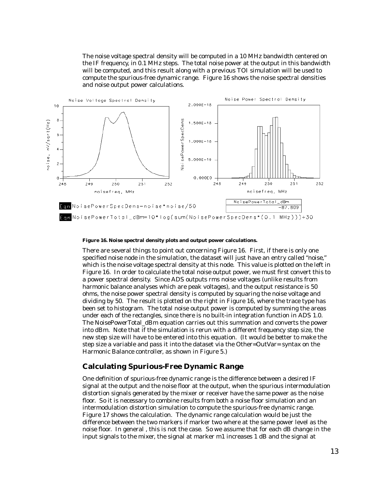The noise voltage spectral density will be computed in a 10 MHz bandwidth centered on the IF frequency, in 0.1 MHz steps. The total noise power at the output in this bandwidth will be computed, and this result along with a previous TOI simulation will be used to compute the spurious-free dynamic range. Figure 16 shows the noise spectral densities and noise output power calculations.



#### **Figure 16. Noise spectral density plots and output power calculations.**

There are several things to point out concerning Figure 16. First, if there is only one specified noise node in the simulation, the dataset will just have an entry called "noise," which is the noise voltage spectral density at this node. This value is plotted on the left in Figure 16. In order to calculate the total noise output power, we must first convert this to a power spectral density. Since ADS outputs rms noise voltages (unlike results from harmonic balance analyses which are peak voltages), and the output resistance is 50 ohms, the noise power spectral density is computed by squaring the noise voltage and dividing by 50. The result is plotted on the right in Figure 16, where the trace type has been set to histogram. The total noise output power is computed by summing the areas under each of the rectangles, since there is no built-in integration function in ADS 1.0. The NoisePowerTotal\_dBm equation carries out this summation and converts the power into dBm. Note that if the simulation is rerun with a different frequency step size, the new step size will have to be entered into this equation. (It would be better to make the step size a variable and pass it into the dataset via the Other=OutVar= syntax on the Harmonic Balance controller, as shown in Figure 5.)

### **Calculating Spurious-Free Dynamic Range**

One definition of spurious-free dynamic range is the difference between a desired IF signal at the output and the noise floor at the output, when the spurious intermodulation distortion signals generated by the mixer or receiver have the same power as the noise floor. So it is necessary to combine results from both a noise floor simulation and an intermodulation distortion simulation to compute the spurious-free dynamic range. Figure 17 shows the calculation. The dynamic range calculation would be just the difference between the two markers if marker two where at the same power level as the noise floor. In general , this is not the case. So we assume that for each dB change in the input signals to the mixer, the signal at marker m1 increases 1 dB and the signal at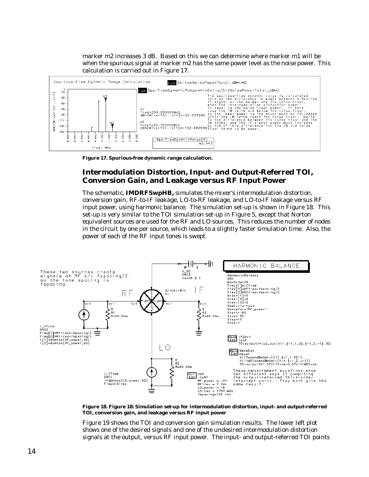marker m2 increases 3 dB. Based on this we can determine where marker m1 will be when the spurious signal at marker m2 has the same power level as the noise power. This calculation is carried out in Figure 17.



**Figure 17. Spurious-free dynamic range calculation.**

## **Intermodulation Distortion, Input- and Output-Referred TOI, Conversion Gain, and Leakage versus RF Input Power**

The schematic, **IMDRFSwpHB,** simulates the mixer's intermodulation distortion, conversion gain, RF-to-IF leakage, LO-to-RF leakage, and LO-to-IF leakage versus RF input power, using harmonic balance. The simulation set-up is shown in Figure 18. This set-up is very similar to the TOI simulation set-up in Figure 5, except that Norton equivalent sources are used for the RF and LO sources. This reduces the number of nodes in the circuit by one per source, which leads to a slightly faster simulation time. Also, the power of each of the RF input tones is swept.



**Figure 18. Figure 18: Simulation set-up for intermodulation distortion, input- and output-referred TOI, conversion gain, and leakage versus RF input power**

Figure 19 shows the TOI and conversion gain simulation results. The lower left plot shows one of the desired signals and one of the undesired intermodulation distortion signals at the output, versus RF input power. The input- and output-referred TOI points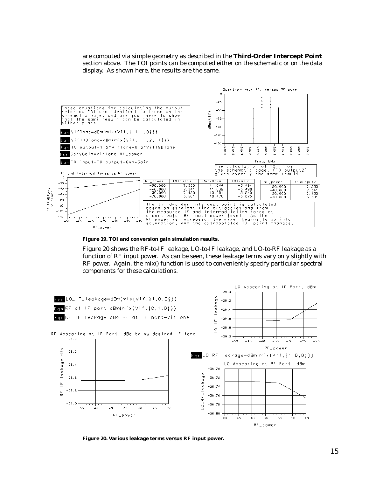are computed via simple geometry as described in the **Third-Order Intercept Point** section above. The TOI points can be computed either on the schematic or on the data display. As shown here, the results are the same.



**Figure 19. TOI and conversion gain simulation results.**

Figure 20 shows the RF-to-IF leakage, LO-to-IF leakage, and LO-to-RF leakage as a function of RF input power. As can be seen, these leakage terms vary only slightly with RF power. Again, the mix() function is used to conveniently specify particular spectral components for these calculations.



**Figure 20. Various leakage terms versus RF input power.**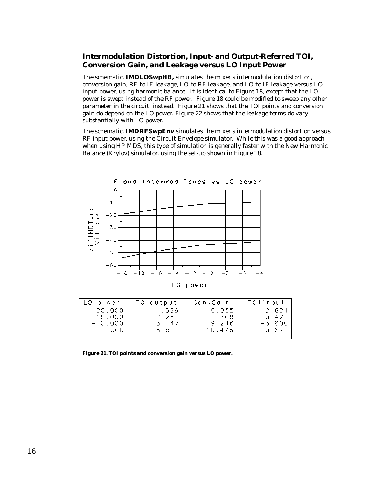## **Intermodulation Distortion, Input- and Output-Referred TOI, Conversion Gain, and Leakage versus LO Input Power**

The schematic, **IMDLOSwpHB,** simulates the mixer's intermodulation distortion, conversion gain, RF-to-IF leakage, LO-to-RF leakage, and LO-to-IF leakage versus LO input power, using harmonic balance. It is identical to Figure 18, except that the LO power is swept instead of the RF power. Figure 18 could be modified to sweep any other parameter in the circuit, instead. Figure 21 shows that the TOI points and conversion gain do depend on the LO power. Figure 22 shows that the leakage terms do vary substantially with LO power.

The schematic, **IMDRFSwpEnv** simulates the mixer's intermodulation distortion versus RF input power, using the Circuit Envelope simulator. While this was a good approach when using HP MDS, this type of simulation is generally faster with the New Harmonic Balance (Krylov) simulator, using the set-up shown in Figure 18.



 $LO$  power

| $LO$ power                          | TOloutput                  | ConvGain                | TOlinput                         |
|-------------------------------------|----------------------------|-------------------------|----------------------------------|
| $-20.000$<br>$-15.000$<br>$-10.000$ | $-1.669$<br>2.285<br>5.447 | 0.955<br>5.709<br>9.246 | $-2.624$<br>$-3.425$<br>$-3.800$ |
| $-5.000$                            | 6.601                      | 10.476                  | $-3.875$                         |

**Figure 21. TOI points and conversion gain versus LO power.**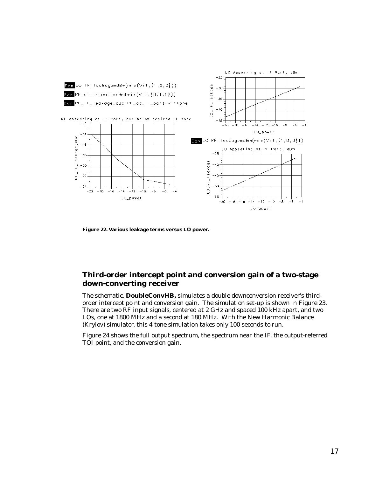

**Figure 22. Various leakage terms versus LO power.**

## **Third-order intercept point and conversion gain of a two-stage down-converting receiver**

The schematic, **DoubleConvHB,** simulates a double downconversion receiver's thirdorder intercept point and conversion gain. The simulation set-up is shown in Figure 23. There are two RF input signals, centered at 2 GHz and spaced 100 kHz apart, and two LOs, one at 1800 MHz and a second at 180 MHz. With the New Harmonic Balance (Krylov) simulator, this 4-tone simulation takes only 100 seconds to run.

Figure 24 shows the full output spectrum, the spectrum near the IF, the output-referred TOI point, and the conversion gain.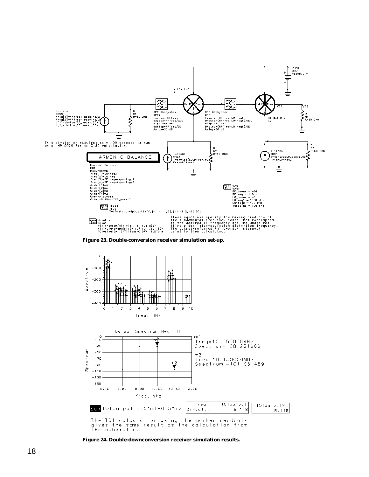

**Figure 23. Double-conversion receiver simulation set-up.**



**Figure 24. Double-downconversion receiver simulation results.**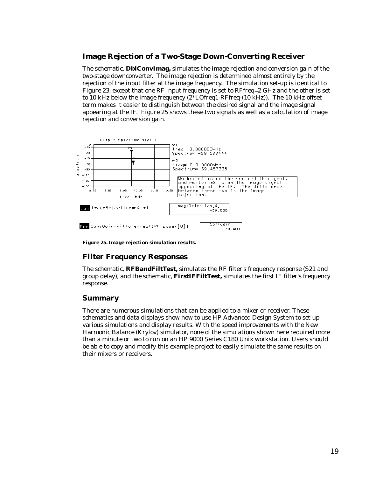## **Image Rejection of a Two-Stage Down-Converting Receiver**

The schematic, **DblConvImag,** simulates the image rejection and conversion gain of the two-stage downconverter. The image rejection is determined almost entirely by the rejection of the input filter at the image frequency. The simulation set-up is identical to Figure 23, except that one RF input frequency is set to RFfreq=2 GHz and the other is set to 10 kHz below the image frequency (2\*LOfreq1-RFfreq-(10 kHz)). The 10 kHz offset term makes it easier to distinguish between the desired signal and the image signal appearing at the IF. Figure 25 shows these two signals as well as a calculation of image rejection and conversion gain.



**Figure 25. Image rejection simulation results.**

## **Filter Frequency Responses**

The schematic, **RFBandFiltTest,** simulates the RF filter's frequency response (S21 and group delay), and the schematic, **FirstIFFiltTest,** simulates the first IF filter's frequency response.

## **Summary**

There are numerous simulations that can be applied to a mixer or receiver. These schematics and data displays show how to use HP Advanced Design System to set up various simulations and display results. With the speed improvements with the New Harmonic Balance (Krylov) simulator, none of the simulations shown here required more than a minute or two to run on an HP 9000 Series C180 Unix workstation. Users should be able to copy and modify this example project to easily simulate the same results on their mixers or receivers.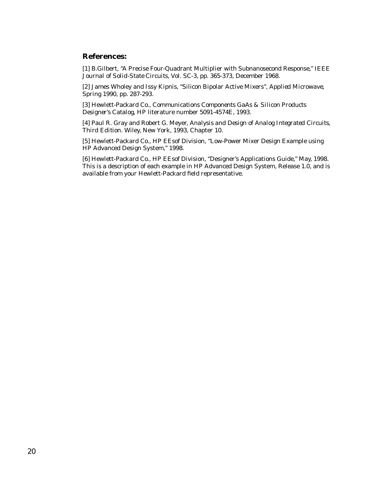## **References:**

[1] B.Gilbert, "A Precise Four-Quadrant Multiplier with Subnanosecond Response," *IEEE Journal of Solid-State Circuits*, Vol. SC-3, pp. 365-373, December 1968.

[2] James Wholey and Issy Kipnis, "Silicon Bipolar Active Mixers", *Applied Microwave*, Spring 1990, pp. 287-293.

[3] Hewlett-Packard Co., *Communications Components GaAs & Silicon Products Designer's Catalog*, HP literature number 5091-4574E, 1993.

[4] Paul R. Gray and Robert G. Meyer, *Analysis and Design of Analog Integrated Circuits, Third Edition*. Wiley, New York, 1993, Chapter 10.

[5] Hewlett-Packard Co., HP EEsof Division, "Low-Power Mixer Design Example using HP Advanced Design System," 1998.

[6] Hewlett-Packard Co., HP EEsof Division, "Designer's Applications Guide," May, 1998. This is a description of each example in HP Advanced Design System, Release 1.0, and is available from your Hewlett-Packard field representative.